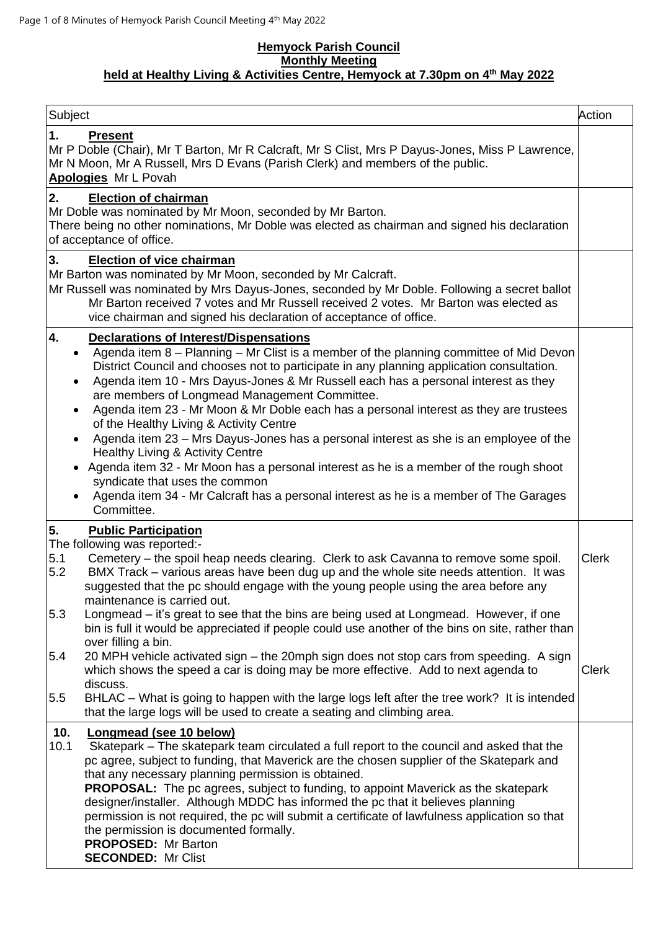#### **Hemyock Parish Council Monthly Meeting held at Healthy Living & Activities Centre, Hemyock at 7.30pm on 4 th May 2022**

| Subject                                                                                                                                                                                                                                                                                                                                                                                                                                                                                                                                                                                                                                                                                                                                                                                                                                                                                           | Action       |
|---------------------------------------------------------------------------------------------------------------------------------------------------------------------------------------------------------------------------------------------------------------------------------------------------------------------------------------------------------------------------------------------------------------------------------------------------------------------------------------------------------------------------------------------------------------------------------------------------------------------------------------------------------------------------------------------------------------------------------------------------------------------------------------------------------------------------------------------------------------------------------------------------|--------------|
| 1.<br><b>Present</b><br>Mr P Doble (Chair), Mr T Barton, Mr R Calcraft, Mr S Clist, Mrs P Dayus-Jones, Miss P Lawrence,<br>Mr N Moon, Mr A Russell, Mrs D Evans (Parish Clerk) and members of the public.<br>Apologies Mr L Povah                                                                                                                                                                                                                                                                                                                                                                                                                                                                                                                                                                                                                                                                 |              |
| 2.<br><b>Election of chairman</b><br>Mr Doble was nominated by Mr Moon, seconded by Mr Barton.<br>There being no other nominations, Mr Doble was elected as chairman and signed his declaration<br>of acceptance of office.                                                                                                                                                                                                                                                                                                                                                                                                                                                                                                                                                                                                                                                                       |              |
| 3.<br><b>Election of vice chairman</b><br>Mr Barton was nominated by Mr Moon, seconded by Mr Calcraft.<br>Mr Russell was nominated by Mrs Dayus-Jones, seconded by Mr Doble. Following a secret ballot<br>Mr Barton received 7 votes and Mr Russell received 2 votes. Mr Barton was elected as<br>vice chairman and signed his declaration of acceptance of office.                                                                                                                                                                                                                                                                                                                                                                                                                                                                                                                               |              |
| 4.<br><b>Declarations of Interest/Dispensations</b><br>Agenda item 8 - Planning - Mr Clist is a member of the planning committee of Mid Devon<br>$\bullet$<br>District Council and chooses not to participate in any planning application consultation.<br>Agenda item 10 - Mrs Dayus-Jones & Mr Russell each has a personal interest as they<br>are members of Longmead Management Committee.<br>Agenda item 23 - Mr Moon & Mr Doble each has a personal interest as they are trustees<br>of the Healthy Living & Activity Centre<br>Agenda item 23 - Mrs Dayus-Jones has a personal interest as she is an employee of the<br>Healthy Living & Activity Centre<br>Agenda item 32 - Mr Moon has a personal interest as he is a member of the rough shoot<br>syndicate that uses the common<br>Agenda item 34 - Mr Calcraft has a personal interest as he is a member of The Garages<br>Committee. |              |
| 5.<br><b>Public Participation</b><br>The following was reported:-                                                                                                                                                                                                                                                                                                                                                                                                                                                                                                                                                                                                                                                                                                                                                                                                                                 |              |
| Cemetery – the spoil heap needs clearing. Clerk to ask Cavanna to remove some spoil.<br>5.1<br>5.2<br>BMX Track – various areas have been dug up and the whole site needs attention. It was<br>suggested that the pc should engage with the young people using the area before any<br>maintenance is carried out.                                                                                                                                                                                                                                                                                                                                                                                                                                                                                                                                                                                 | <b>Clerk</b> |
| 5.3<br>Longmead – it's great to see that the bins are being used at Longmead. However, if one<br>bin is full it would be appreciated if people could use another of the bins on site, rather than<br>over filling a bin.                                                                                                                                                                                                                                                                                                                                                                                                                                                                                                                                                                                                                                                                          |              |
| 20 MPH vehicle activated sign - the 20mph sign does not stop cars from speeding. A sign<br>5.4<br>which shows the speed a car is doing may be more effective. Add to next agenda to<br>discuss.                                                                                                                                                                                                                                                                                                                                                                                                                                                                                                                                                                                                                                                                                                   | <b>Clerk</b> |
| 5.5<br>BHLAC – What is going to happen with the large logs left after the tree work? It is intended<br>that the large logs will be used to create a seating and climbing area.                                                                                                                                                                                                                                                                                                                                                                                                                                                                                                                                                                                                                                                                                                                    |              |
| 10.<br>Longmead (see 10 below)<br>10.1<br>Skatepark – The skatepark team circulated a full report to the council and asked that the<br>pc agree, subject to funding, that Maverick are the chosen supplier of the Skatepark and<br>that any necessary planning permission is obtained.<br><b>PROPOSAL:</b> The pc agrees, subject to funding, to appoint Maverick as the skatepark<br>designer/installer. Although MDDC has informed the pc that it believes planning<br>permission is not required, the pc will submit a certificate of lawfulness application so that<br>the permission is documented formally.<br><b>PROPOSED: Mr Barton</b><br><b>SECONDED: Mr Clist</b>                                                                                                                                                                                                                      |              |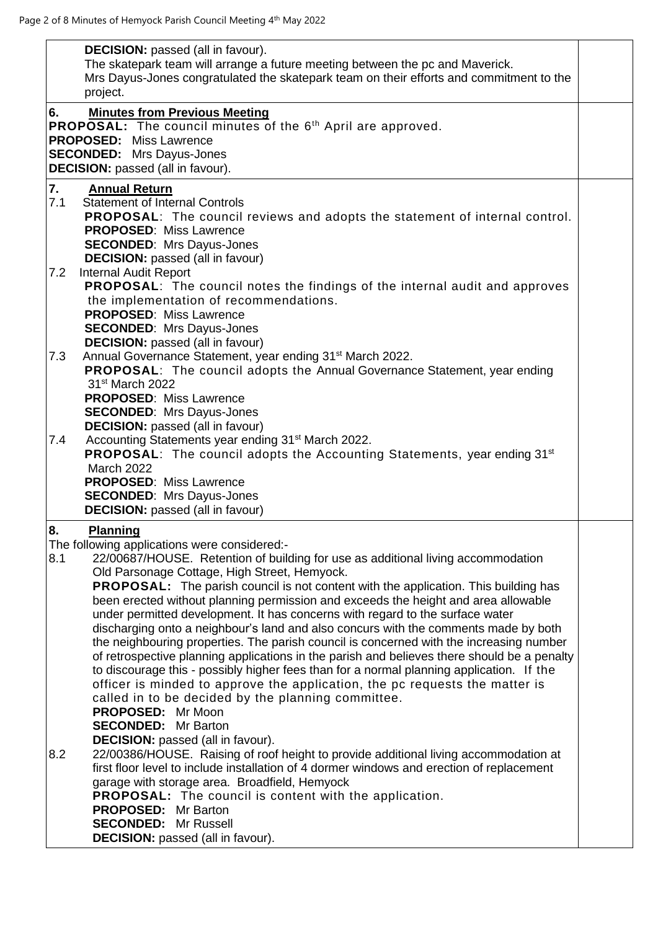| <b>DECISION:</b> passed (all in favour).<br>The skatepark team will arrange a future meeting between the pc and Maverick.<br>Mrs Dayus-Jones congratulated the skatepark team on their efforts and commitment to the<br>project.                                                                                                                                                                                                                                                                                                                                                                                                                                                                                                                                                                                                                                                                                                                                                                                                                                                                                                                                                                                                                                                                                                                                                                                                            |  |
|---------------------------------------------------------------------------------------------------------------------------------------------------------------------------------------------------------------------------------------------------------------------------------------------------------------------------------------------------------------------------------------------------------------------------------------------------------------------------------------------------------------------------------------------------------------------------------------------------------------------------------------------------------------------------------------------------------------------------------------------------------------------------------------------------------------------------------------------------------------------------------------------------------------------------------------------------------------------------------------------------------------------------------------------------------------------------------------------------------------------------------------------------------------------------------------------------------------------------------------------------------------------------------------------------------------------------------------------------------------------------------------------------------------------------------------------|--|
| <b>Minutes from Previous Meeting</b><br>6.<br><b>PROPOSAL:</b> The council minutes of the 6 <sup>th</sup> April are approved.<br><b>PROPOSED:</b> Miss Lawrence<br><b>SECONDED:</b> Mrs Dayus-Jones<br><b>DECISION:</b> passed (all in favour).                                                                                                                                                                                                                                                                                                                                                                                                                                                                                                                                                                                                                                                                                                                                                                                                                                                                                                                                                                                                                                                                                                                                                                                             |  |
| 7.<br><b>Annual Return</b>                                                                                                                                                                                                                                                                                                                                                                                                                                                                                                                                                                                                                                                                                                                                                                                                                                                                                                                                                                                                                                                                                                                                                                                                                                                                                                                                                                                                                  |  |
| 7.1<br><b>Statement of Internal Controls</b><br>PROPOSAL: The council reviews and adopts the statement of internal control.<br><b>PROPOSED: Miss Lawrence</b><br><b>SECONDED:</b> Mrs Dayus-Jones<br><b>DECISION:</b> passed (all in favour)                                                                                                                                                                                                                                                                                                                                                                                                                                                                                                                                                                                                                                                                                                                                                                                                                                                                                                                                                                                                                                                                                                                                                                                                |  |
| <b>Internal Audit Report</b><br>7.2<br>PROPOSAL: The council notes the findings of the internal audit and approves<br>the implementation of recommendations.<br><b>PROPOSED: Miss Lawrence</b><br><b>SECONDED:</b> Mrs Dayus-Jones<br><b>DECISION:</b> passed (all in favour)                                                                                                                                                                                                                                                                                                                                                                                                                                                                                                                                                                                                                                                                                                                                                                                                                                                                                                                                                                                                                                                                                                                                                               |  |
| Annual Governance Statement, year ending 31 <sup>st</sup> March 2022.<br>7.3<br>PROPOSAL: The council adopts the Annual Governance Statement, year ending<br>31 <sup>st</sup> March 2022<br><b>PROPOSED: Miss Lawrence</b><br><b>SECONDED:</b> Mrs Dayus-Jones<br><b>DECISION:</b> passed (all in favour)                                                                                                                                                                                                                                                                                                                                                                                                                                                                                                                                                                                                                                                                                                                                                                                                                                                                                                                                                                                                                                                                                                                                   |  |
| Accounting Statements year ending 31 <sup>st</sup> March 2022.<br>7.4<br><b>PROPOSAL:</b> The council adopts the Accounting Statements, year ending 31 <sup>st</sup><br><b>March 2022</b><br><b>PROPOSED: Miss Lawrence</b><br><b>SECONDED:</b> Mrs Dayus-Jones<br><b>DECISION:</b> passed (all in favour)                                                                                                                                                                                                                                                                                                                                                                                                                                                                                                                                                                                                                                                                                                                                                                                                                                                                                                                                                                                                                                                                                                                                  |  |
| 8.<br><b>Planning</b><br>The following applications were considered:-<br>8.1<br>22/00687/HOUSE. Retention of building for use as additional living accommodation<br>Old Parsonage Cottage, High Street, Hemyock.<br><b>PROPOSAL:</b> The parish council is not content with the application. This building has<br>been erected without planning permission and exceeds the height and area allowable<br>under permitted development. It has concerns with regard to the surface water<br>discharging onto a neighbour's land and also concurs with the comments made by both<br>the neighbouring properties. The parish council is concerned with the increasing number<br>of retrospective planning applications in the parish and believes there should be a penalty<br>to discourage this - possibly higher fees than for a normal planning application. If the<br>officer is minded to approve the application, the pc requests the matter is<br>called in to be decided by the planning committee.<br>PROPOSED: Mr Moon<br><b>SECONDED:</b> Mr Barton<br>DECISION: passed (all in favour).<br>8.2<br>22/00386/HOUSE. Raising of roof height to provide additional living accommodation at<br>first floor level to include installation of 4 dormer windows and erection of replacement<br>garage with storage area. Broadfield, Hemyock<br><b>PROPOSAL:</b> The council is content with the application.<br><b>PROPOSED:</b> Mr Barton |  |
| <b>SECONDED:</b> Mr Russell<br><b>DECISION:</b> passed (all in favour).                                                                                                                                                                                                                                                                                                                                                                                                                                                                                                                                                                                                                                                                                                                                                                                                                                                                                                                                                                                                                                                                                                                                                                                                                                                                                                                                                                     |  |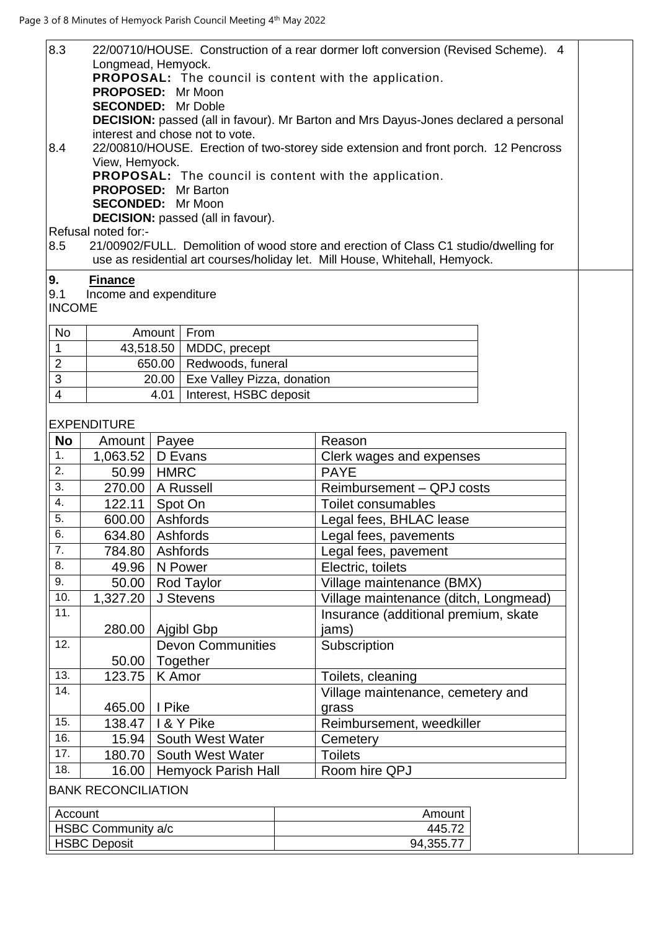| 8.3                  | 22/00710/HOUSE. Construction of a rear dormer loft conversion (Revised Scheme). 4 |                            |                                          |  |                                                                                            |  |
|----------------------|-----------------------------------------------------------------------------------|----------------------------|------------------------------------------|--|--------------------------------------------------------------------------------------------|--|
|                      | Longmead, Hemyock.                                                                |                            |                                          |  |                                                                                            |  |
|                      | <b>PROPOSAL:</b> The council is content with the application.                     |                            |                                          |  |                                                                                            |  |
|                      | <b>PROPOSED:</b>                                                                  |                            | Mr Moon                                  |  |                                                                                            |  |
|                      | <b>SECONDED:</b>                                                                  |                            | Mr Doble                                 |  |                                                                                            |  |
|                      |                                                                                   |                            |                                          |  | <b>DECISION:</b> passed (all in favour). Mr Barton and Mrs Dayus-Jones declared a personal |  |
|                      |                                                                                   |                            | interest and chose not to vote.          |  |                                                                                            |  |
| 8.4                  |                                                                                   |                            |                                          |  | 22/00810/HOUSE. Erection of two-storey side extension and front porch. 12 Pencross         |  |
|                      | View, Hemyock.                                                                    |                            |                                          |  |                                                                                            |  |
|                      |                                                                                   |                            |                                          |  | PROPOSAL: The council is content with the application.                                     |  |
|                      | <b>PROPOSED:</b> Mr Barton                                                        |                            |                                          |  |                                                                                            |  |
|                      | <b>SECONDED:</b> Mr Moon                                                          |                            |                                          |  |                                                                                            |  |
|                      |                                                                                   |                            | <b>DECISION:</b> passed (all in favour). |  |                                                                                            |  |
|                      | Refusal noted for:-                                                               |                            |                                          |  |                                                                                            |  |
| 8.5                  |                                                                                   |                            |                                          |  | 21/00902/FULL. Demolition of wood store and erection of Class C1 studio/dwelling for       |  |
|                      |                                                                                   |                            |                                          |  | use as residential art courses/holiday let. Mill House, Whitehall, Hemyock.                |  |
|                      |                                                                                   |                            |                                          |  |                                                                                            |  |
| 9.                   | <b>Finance</b>                                                                    |                            |                                          |  |                                                                                            |  |
| 9.1<br><b>INCOME</b> | Income and expenditure                                                            |                            |                                          |  |                                                                                            |  |
|                      |                                                                                   |                            |                                          |  |                                                                                            |  |
| No                   |                                                                                   | Amount                     | From                                     |  |                                                                                            |  |
| $\mathbf{1}$         | 43,518.50                                                                         |                            | MDDC, precept                            |  |                                                                                            |  |
|                      |                                                                                   |                            |                                          |  |                                                                                            |  |
| $\overline{2}$       |                                                                                   | 650.00                     | Redwoods, funeral                        |  |                                                                                            |  |
| $\overline{3}$       |                                                                                   | 20.00                      | Exe Valley Pizza, donation               |  |                                                                                            |  |
| $\overline{4}$       |                                                                                   | 4.01                       | Interest, HSBC deposit                   |  |                                                                                            |  |
|                      |                                                                                   |                            |                                          |  |                                                                                            |  |
|                      | <b>EXPENDITURE</b>                                                                |                            |                                          |  |                                                                                            |  |
| <b>No</b>            | Amount                                                                            | Payee                      |                                          |  | Reason                                                                                     |  |
| 1.                   | 1,063.52                                                                          | D Evans                    |                                          |  | Clerk wages and expenses                                                                   |  |
| 2.                   | 50.99                                                                             | <b>HMRC</b>                |                                          |  | <b>PAYE</b>                                                                                |  |
| 3.                   |                                                                                   |                            |                                          |  |                                                                                            |  |
|                      | 270.00                                                                            |                            | A Russell                                |  | Reimbursement - QPJ costs                                                                  |  |
| 4.                   | 122.11                                                                            | Spot On                    |                                          |  | Toilet consumables                                                                         |  |
| 5.                   | 600.00                                                                            | Ashfords                   |                                          |  | Legal fees, BHLAC lease                                                                    |  |
| 6.                   | 634.80 Ashfords                                                                   |                            |                                          |  | Legal fees, pavements                                                                      |  |
| 7.                   | 784.80                                                                            | Ashfords                   |                                          |  | Legal fees, pavement                                                                       |  |
| 8.                   | 49.96                                                                             | N Power                    |                                          |  | Electric, toilets                                                                          |  |
| 9.                   |                                                                                   |                            |                                          |  |                                                                                            |  |
|                      | 50.00                                                                             |                            | <b>Rod Taylor</b>                        |  | Village maintenance (BMX)                                                                  |  |
| 10.                  | 1,327.20                                                                          |                            | J Stevens                                |  | Village maintenance (ditch, Longmead)                                                      |  |
| 11.                  |                                                                                   |                            |                                          |  | Insurance (additional premium, skate                                                       |  |
|                      | 280.00                                                                            |                            | Ajgibl Gbp                               |  | jams)                                                                                      |  |
| 12.                  |                                                                                   |                            | <b>Devon Communities</b>                 |  | Subscription                                                                               |  |
|                      | 50.00                                                                             | Together                   |                                          |  |                                                                                            |  |
| 13.                  | 123.75                                                                            | K Amor                     |                                          |  | Toilets, cleaning                                                                          |  |
| 14.                  |                                                                                   |                            |                                          |  |                                                                                            |  |
|                      |                                                                                   |                            |                                          |  | Village maintenance, cemetery and                                                          |  |
|                      | 465.00                                                                            | I Pike                     |                                          |  | grass                                                                                      |  |
| 15.                  | 138.47                                                                            | I & Y Pike                 |                                          |  | Reimbursement, weedkiller                                                                  |  |
| 16.                  | 15.94                                                                             | <b>South West Water</b>    |                                          |  | Cemetery                                                                                   |  |
| 17.                  | 180.70                                                                            | South West Water           |                                          |  | <b>Toilets</b>                                                                             |  |
| 18.                  | 16.00                                                                             | <b>Hemyock Parish Hall</b> |                                          |  | Room hire QPJ                                                                              |  |
|                      |                                                                                   |                            |                                          |  |                                                                                            |  |
|                      | <b>BANK RECONCILIATION</b>                                                        |                            |                                          |  |                                                                                            |  |
|                      |                                                                                   |                            |                                          |  |                                                                                            |  |
|                      | Account                                                                           |                            |                                          |  | Amount                                                                                     |  |
| HSBC Community a/c   |                                                                                   |                            |                                          |  | 445.72                                                                                     |  |
|                      | <b>HSBC Deposit</b>                                                               |                            |                                          |  | 94,355.77                                                                                  |  |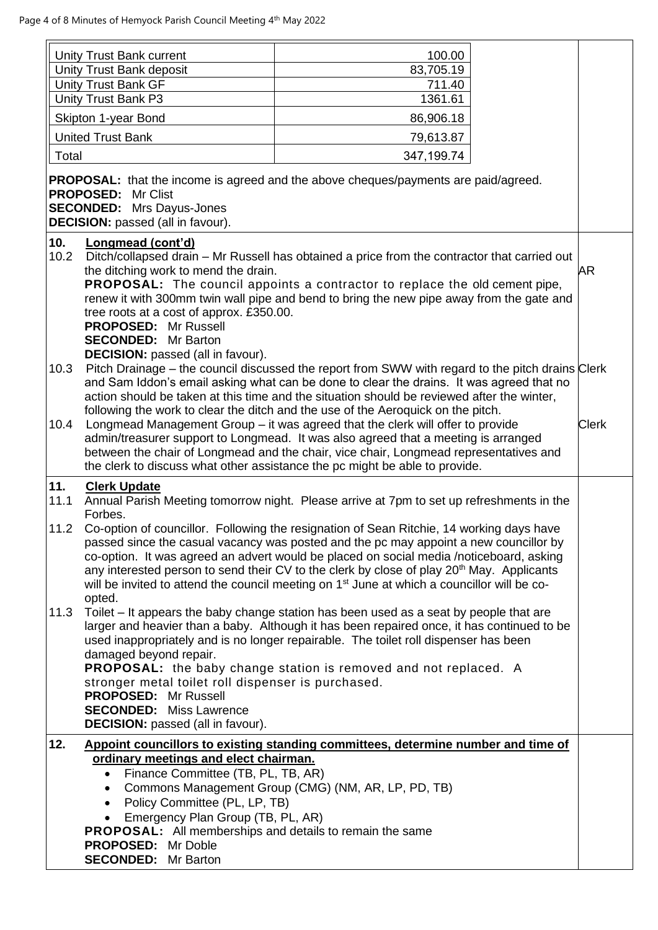|             | Unity Trust Bank current                                                                                                                                                                                                                                      | 100.00                                                                                                                                                                                                                                                                                                                                                                                                                                                                                           |              |
|-------------|---------------------------------------------------------------------------------------------------------------------------------------------------------------------------------------------------------------------------------------------------------------|--------------------------------------------------------------------------------------------------------------------------------------------------------------------------------------------------------------------------------------------------------------------------------------------------------------------------------------------------------------------------------------------------------------------------------------------------------------------------------------------------|--------------|
|             | Unity Trust Bank deposit                                                                                                                                                                                                                                      | 83,705.19                                                                                                                                                                                                                                                                                                                                                                                                                                                                                        |              |
|             | <b>Unity Trust Bank GF</b>                                                                                                                                                                                                                                    | 711.40                                                                                                                                                                                                                                                                                                                                                                                                                                                                                           |              |
|             | Unity Trust Bank P3                                                                                                                                                                                                                                           | 1361.61                                                                                                                                                                                                                                                                                                                                                                                                                                                                                          |              |
|             | Skipton 1-year Bond                                                                                                                                                                                                                                           | 86,906.18                                                                                                                                                                                                                                                                                                                                                                                                                                                                                        |              |
|             | <b>United Trust Bank</b>                                                                                                                                                                                                                                      | 79,613.87                                                                                                                                                                                                                                                                                                                                                                                                                                                                                        |              |
| Total       |                                                                                                                                                                                                                                                               | 347,199.74                                                                                                                                                                                                                                                                                                                                                                                                                                                                                       |              |
|             | PROPOSED: Mr Clist<br><b>SECONDED:</b> Mrs Dayus-Jones<br><b>DECISION:</b> passed (all in favour).                                                                                                                                                            | <b>PROPOSAL:</b> that the income is agreed and the above cheques/payments are paid/agreed.                                                                                                                                                                                                                                                                                                                                                                                                       |              |
| 10.<br>10.2 | Longmead (cont'd)<br>the ditching work to mend the drain.<br>tree roots at a cost of approx. £350.00.<br>PROPOSED: Mr Russell<br><b>SECONDED:</b> Mr Barton                                                                                                   | Ditch/collapsed drain - Mr Russell has obtained a price from the contractor that carried out<br><b>PROPOSAL:</b> The council appoints a contractor to replace the old cement pipe,<br>renew it with 300mm twin wall pipe and bend to bring the new pipe away from the gate and                                                                                                                                                                                                                   | AR           |
| 10.3        | <b>DECISION:</b> passed (all in favour).                                                                                                                                                                                                                      | Pitch Drainage – the council discussed the report from SWW with regard to the pitch drains Clerk<br>and Sam Iddon's email asking what can be done to clear the drains. It was agreed that no<br>action should be taken at this time and the situation should be reviewed after the winter,                                                                                                                                                                                                       |              |
| 10.4        |                                                                                                                                                                                                                                                               | following the work to clear the ditch and the use of the Aeroquick on the pitch.<br>Longmead Management Group - it was agreed that the clerk will offer to provide<br>admin/treasurer support to Longmead. It was also agreed that a meeting is arranged<br>between the chair of Longmead and the chair, vice chair, Longmead representatives and<br>the clerk to discuss what other assistance the pc might be able to provide.                                                                 | <b>Clerk</b> |
| 11.         | <b>Clerk Update</b>                                                                                                                                                                                                                                           |                                                                                                                                                                                                                                                                                                                                                                                                                                                                                                  |              |
| 11.1        | Forbes.                                                                                                                                                                                                                                                       | Annual Parish Meeting tomorrow night. Please arrive at 7pm to set up refreshments in the                                                                                                                                                                                                                                                                                                                                                                                                         |              |
| 11.2        |                                                                                                                                                                                                                                                               | Co-option of councillor. Following the resignation of Sean Ritchie, 14 working days have<br>passed since the casual vacancy was posted and the pc may appoint a new councillor by<br>co-option. It was agreed an advert would be placed on social media /noticeboard, asking<br>any interested person to send their CV to the clerk by close of play 20 <sup>th</sup> May. Applicants<br>will be invited to attend the council meeting on 1 <sup>st</sup> June at which a councillor will be co- |              |
| 11.3        | opted.<br>damaged beyond repair.<br>stronger metal toilet roll dispenser is purchased.                                                                                                                                                                        | Toilet – It appears the baby change station has been used as a seat by people that are<br>larger and heavier than a baby. Although it has been repaired once, it has continued to be<br>used inappropriately and is no longer repairable. The toilet roll dispenser has been<br><b>PROPOSAL:</b> the baby change station is removed and not replaced. A                                                                                                                                          |              |
|             | <b>PROPOSED:</b> Mr Russell<br><b>SECONDED:</b> Miss Lawrence<br><b>DECISION:</b> passed (all in favour).                                                                                                                                                     |                                                                                                                                                                                                                                                                                                                                                                                                                                                                                                  |              |
| 12.         | ordinary meetings and elect chairman.<br>Finance Committee (TB, PL, TB, AR)<br>$\bullet$<br>$\bullet$<br>• Policy Committee (PL, LP, TB)<br>Emergency Plan Group (TB, PL, AR)<br>$\bullet$<br><b>PROPOSAL:</b> All memberships and details to remain the same | Appoint councillors to existing standing committees, determine number and time of<br>Commons Management Group (CMG) (NM, AR, LP, PD, TB)                                                                                                                                                                                                                                                                                                                                                         |              |
|             | PROPOSED: Mr Doble<br><b>SECONDED:</b> Mr Barton                                                                                                                                                                                                              |                                                                                                                                                                                                                                                                                                                                                                                                                                                                                                  |              |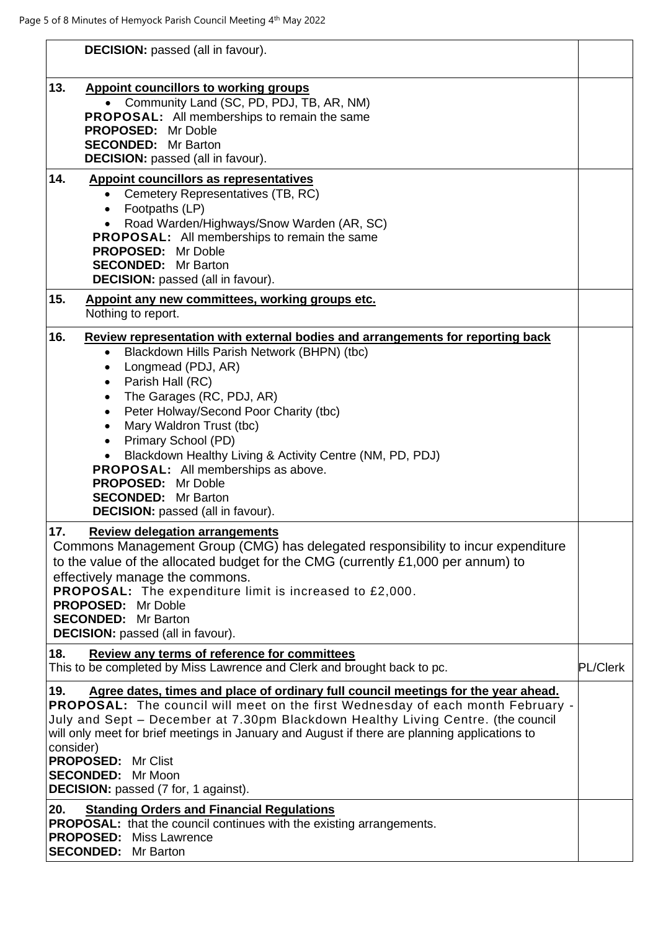| <b>DECISION:</b> passed (all in favour).                                                                                                                                                                                                                                                                                                                                                                                                                                                                                                                                                                      |                 |
|---------------------------------------------------------------------------------------------------------------------------------------------------------------------------------------------------------------------------------------------------------------------------------------------------------------------------------------------------------------------------------------------------------------------------------------------------------------------------------------------------------------------------------------------------------------------------------------------------------------|-----------------|
| 13.<br><b>Appoint councillors to working groups</b><br>• Community Land (SC, PD, PDJ, TB, AR, NM)<br><b>PROPOSAL:</b> All memberships to remain the same<br>PROPOSED: Mr Doble<br><b>SECONDED:</b> Mr Barton<br><b>DECISION:</b> passed (all in favour).                                                                                                                                                                                                                                                                                                                                                      |                 |
| 14.<br><b>Appoint councillors as representatives</b><br>Cemetery Representatives (TB, RC)<br>$\bullet$<br>Footpaths (LP)<br>$\bullet$<br>Road Warden/Highways/Snow Warden (AR, SC)<br>$\bullet$<br>PROPOSAL: All memberships to remain the same<br><b>PROPOSED:</b> Mr Doble<br><b>SECONDED:</b> Mr Barton<br><b>DECISION:</b> passed (all in favour).                                                                                                                                                                                                                                                        |                 |
| 15.<br>Appoint any new committees, working groups etc.<br>Nothing to report.                                                                                                                                                                                                                                                                                                                                                                                                                                                                                                                                  |                 |
| 16.<br>Review representation with external bodies and arrangements for reporting back<br>Blackdown Hills Parish Network (BHPN) (tbc)<br>$\bullet$<br>Longmead (PDJ, AR)<br>$\bullet$<br>Parish Hall (RC)<br>$\bullet$<br>The Garages (RC, PDJ, AR)<br>$\bullet$<br>Peter Holway/Second Poor Charity (tbc)<br>$\bullet$<br>Mary Waldron Trust (tbc)<br>$\bullet$<br>Primary School (PD)<br>$\bullet$<br>Blackdown Healthy Living & Activity Centre (NM, PD, PDJ)<br><b>PROPOSAL:</b> All memberships as above.<br>PROPOSED: Mr Doble<br><b>SECONDED:</b> Mr Barton<br><b>DECISION:</b> passed (all in favour). |                 |
| 17.<br><b>Review delegation arrangements</b><br>Commons Management Group (CMG) has delegated responsibility to incur expenditure<br>to the value of the allocated budget for the CMG (currently £1,000 per annum) to<br>effectively manage the commons.<br>PROPOSAL: The expenditure limit is increased to £2,000.<br><b>PROPOSED:</b> Mr Doble<br><b>SECONDED:</b> Mr Barton<br><b>DECISION:</b> passed (all in favour).                                                                                                                                                                                     |                 |
| 18.<br>Review any terms of reference for committees<br>This to be completed by Miss Lawrence and Clerk and brought back to pc.                                                                                                                                                                                                                                                                                                                                                                                                                                                                                | <b>PL/Clerk</b> |
| Agree dates, times and place of ordinary full council meetings for the year ahead.<br>19.<br>PROPOSAL: The council will meet on the first Wednesday of each month February -<br>July and Sept - December at 7.30pm Blackdown Healthy Living Centre. (the council<br>will only meet for brief meetings in January and August if there are planning applications to<br>consider)<br><b>PROPOSED: Mr Clist</b><br><b>SECONDED:</b> Mr Moon<br><b>DECISION:</b> passed (7 for, 1 against).                                                                                                                        |                 |
| 20.<br><b>Standing Orders and Financial Regulations</b><br><b>PROPOSAL:</b> that the council continues with the existing arrangements.<br><b>PROPOSED:</b> Miss Lawrence<br><b>SECONDED:</b> Mr Barton                                                                                                                                                                                                                                                                                                                                                                                                        |                 |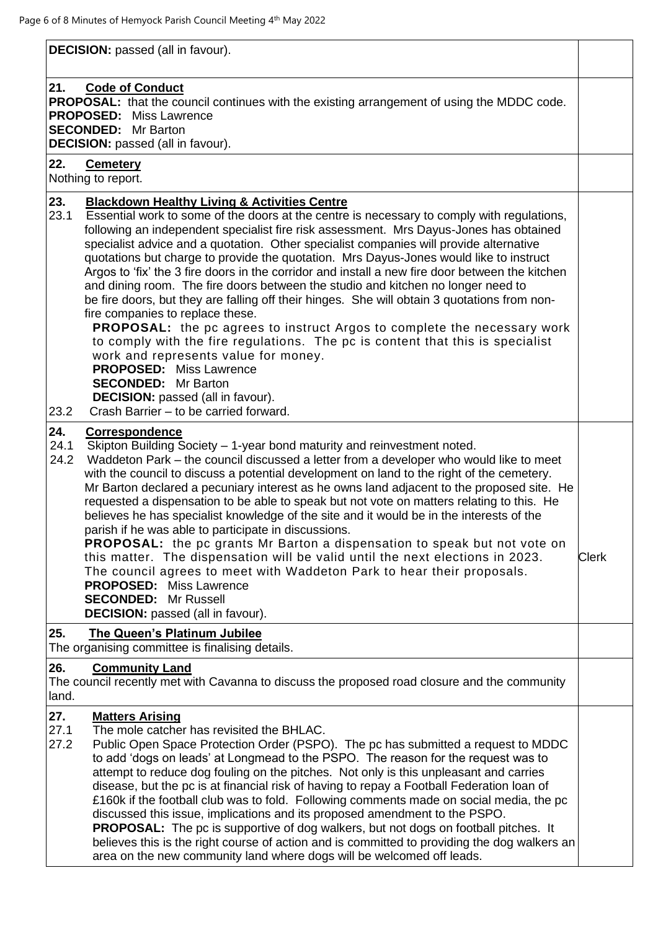**DECISION:** passed (all in favour).

# **21. Code of Conduct**

**PROPOSAL:** that the council continues with the existing arrangement of using the MDDC code. **PROPOSED:** Miss Lawrence **SECONDED:** Mr Barton **DECISION:** passed (all in favour).

#### **22. Cemetery**

Nothing to report.

## **23. Blackdown Healthy Living & Activities Centre**

23.1 Essential work to some of the doors at the centre is necessary to comply with regulations, following an independent specialist fire risk assessment. Mrs Dayus-Jones has obtained specialist advice and a quotation. Other specialist companies will provide alternative quotations but charge to provide the quotation. Mrs Dayus-Jones would like to instruct Argos to 'fix' the 3 fire doors in the corridor and install a new fire door between the kitchen and dining room. The fire doors between the studio and kitchen no longer need to be fire doors, but they are falling off their hinges. She will obtain 3 quotations from nonfire companies to replace these. **PROPOSAL:** the pc agrees to instruct Argos to complete the necessary work

to comply with the fire regulations. The pc is content that this is specialist work and represents value for money. **PROPOSED:** Miss Lawrence

**SECONDED:** Mr Barton

**DECISION:** passed (all in favour).

23.2 Crash Barrier – to be carried forward.

## **24. Correspondence**

- 24.1 Skipton Building Society 1-year bond maturity and reinvestment noted.
- 24.2 Waddeton Park the council discussed a letter from a developer who would like to meet with the council to discuss a potential development on land to the right of the cemetery. Mr Barton declared a pecuniary interest as he owns land adjacent to the proposed site. He requested a dispensation to be able to speak but not vote on matters relating to this. He believes he has specialist knowledge of the site and it would be in the interests of the parish if he was able to participate in discussions.

**PROPOSAL:** the pc grants Mr Barton a dispensation to speak but not vote on this matter. The dispensation will be valid until the next elections in 2023. The council agrees to meet with Waddeton Park to hear their proposals. **PROPOSED:** Miss Lawrence **SECONDED:** Mr Russell **DECISION:** passed (all in favour). Clerk

## **25. The Queen's Platinum Jubilee**

The organising committee is finalising details.

## **26. Community Land**

The council recently met with Cavanna to discuss the proposed road closure and the community land.

## **27. Matters Arising**

- 27.1 The mole catcher has revisited the BHLAC.
- 27.2 Public Open Space Protection Order (PSPO). The pc has submitted a request to MDDC to add 'dogs on leads' at Longmead to the PSPO. The reason for the request was to attempt to reduce dog fouling on the pitches. Not only is this unpleasant and carries disease, but the pc is at financial risk of having to repay a Football Federation loan of £160k if the football club was to fold. Following comments made on social media, the pc discussed this issue, implications and its proposed amendment to the PSPO. **PROPOSAL:** The pc is supportive of dog walkers, but not dogs on football pitches. It believes this is the right course of action and is committed to providing the dog walkers an area on the new community land where dogs will be welcomed off leads.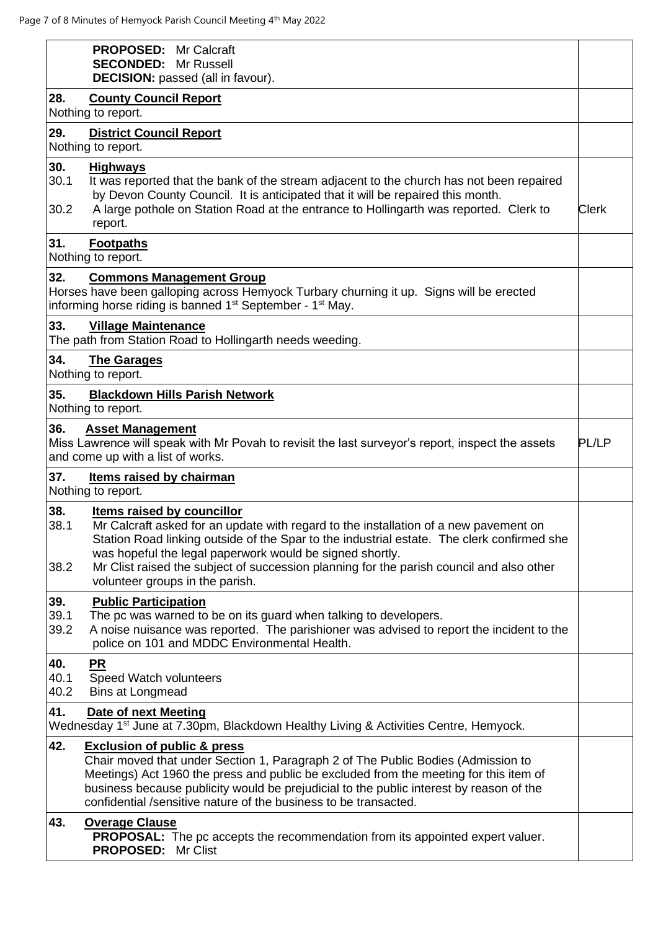| <b>PROPOSED:</b> Mr Calcraft<br><b>SECONDED:</b> Mr Russell<br><b>DECISION:</b> passed (all in favour).                                                                                                                                                                                                                                                                                                                            |              |
|------------------------------------------------------------------------------------------------------------------------------------------------------------------------------------------------------------------------------------------------------------------------------------------------------------------------------------------------------------------------------------------------------------------------------------|--------------|
| 28.<br><b>County Council Report</b><br>Nothing to report.                                                                                                                                                                                                                                                                                                                                                                          |              |
| 29.<br><b>District Council Report</b><br>Nothing to report.                                                                                                                                                                                                                                                                                                                                                                        |              |
| 30.<br><b>Highways</b><br>30.1<br>It was reported that the bank of the stream adjacent to the church has not been repaired<br>by Devon County Council. It is anticipated that it will be repaired this month.<br>A large pothole on Station Road at the entrance to Hollingarth was reported. Clerk to<br>30.2<br>report.                                                                                                          | <b>Clerk</b> |
| 31.<br><b>Footpaths</b><br>Nothing to report.                                                                                                                                                                                                                                                                                                                                                                                      |              |
| 32.<br><b>Commons Management Group</b><br>Horses have been galloping across Hemyock Turbary churning it up. Signs will be erected<br>informing horse riding is banned 1 <sup>st</sup> September - 1 <sup>st</sup> May.                                                                                                                                                                                                             |              |
| 33.<br><b>Village Maintenance</b><br>The path from Station Road to Hollingarth needs weeding.                                                                                                                                                                                                                                                                                                                                      |              |
| 34.<br><b>The Garages</b><br>Nothing to report.                                                                                                                                                                                                                                                                                                                                                                                    |              |
| 35.<br><b>Blackdown Hills Parish Network</b><br>Nothing to report.                                                                                                                                                                                                                                                                                                                                                                 |              |
| 36.<br><b>Asset Management</b><br>Miss Lawrence will speak with Mr Povah to revisit the last surveyor's report, inspect the assets<br>and come up with a list of works.                                                                                                                                                                                                                                                            | PL/LP        |
| 37.<br><b>Items raised by chairman</b><br>Nothing to report.                                                                                                                                                                                                                                                                                                                                                                       |              |
| 38.<br>Items raised by councillor<br>38.1<br>Mr Calcraft asked for an update with regard to the installation of a new pavement on<br>Station Road linking outside of the Spar to the industrial estate. The clerk confirmed she<br>was hopeful the legal paperwork would be signed shortly.<br>Mr Clist raised the subject of succession planning for the parish council and also other<br>38.2<br>volunteer groups in the parish. |              |
| 39.<br><b>Public Participation</b><br>39.1<br>The pc was warned to be on its guard when talking to developers.<br>39.2<br>A noise nuisance was reported. The parishioner was advised to report the incident to the<br>police on 101 and MDDC Environmental Health.                                                                                                                                                                 |              |
| 40.<br><b>PR</b><br>40.1<br>Speed Watch volunteers<br>40.2<br>Bins at Longmead                                                                                                                                                                                                                                                                                                                                                     |              |
| 41.<br><b>Date of next Meeting</b><br>Wednesday 1 <sup>st</sup> June at 7.30pm, Blackdown Healthy Living & Activities Centre, Hemyock.                                                                                                                                                                                                                                                                                             |              |
| 42.<br><b>Exclusion of public &amp; press</b><br>Chair moved that under Section 1, Paragraph 2 of The Public Bodies (Admission to<br>Meetings) Act 1960 the press and public be excluded from the meeting for this item of<br>business because publicity would be prejudicial to the public interest by reason of the<br>confidential /sensitive nature of the business to be transacted.                                          |              |
| 43.<br><b>Overage Clause</b><br><b>PROPOSAL:</b> The pc accepts the recommendation from its appointed expert valuer.<br><b>PROPOSED:</b><br>Mr Clist                                                                                                                                                                                                                                                                               |              |